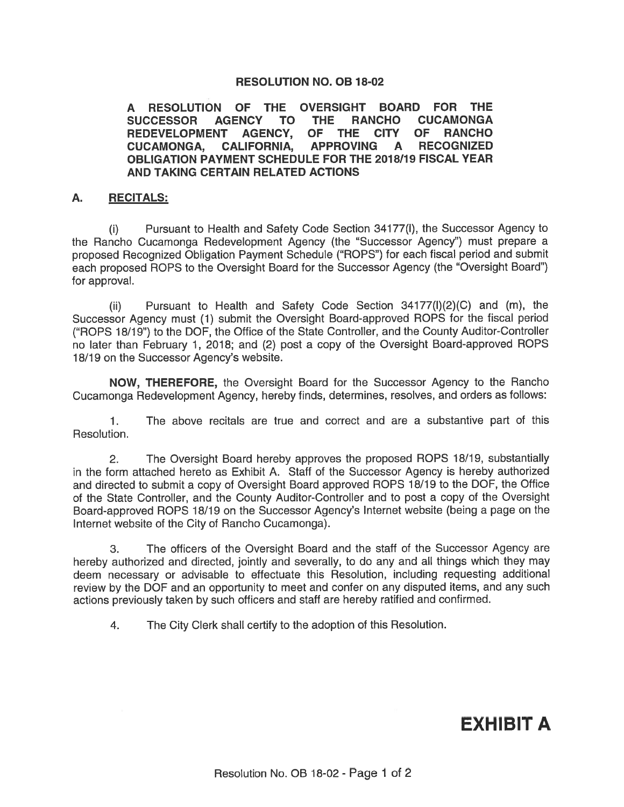## **RESOLUTION NO. OB 18-02**

A RESOLUTION OF THE OVERSIGHT BOARD FOR THE **AGENCY THE** RANCHO CUCAMONGA **SUCCESSOR** TO **TO** OF THE CITY OF RANCHO **REDEVELOPMENT AGENCY, CALIFORNIA,** APPROVING A **RECOGNIZED CUCAMONGA,** OBLIGATION PAYMENT SCHEDULE FOR THE 2018/19 FISCAL YEAR AND TAKING CERTAIN RELATED ACTIONS

## A. **RECITALS:**

 $(i)$ Pursuant to Health and Safety Code Section 34177(I), the Successor Agency to the Rancho Cucamonga Redevelopment Agency (the "Successor Agency") must prepare a proposed Recognized Obligation Payment Schedule ("ROPS") for each fiscal period and submit each proposed ROPS to the Oversight Board for the Successor Agency (the "Oversight Board") for approval.

Pursuant to Health and Safety Code Section 34177(I)(2)(C) and (m), the  $(ii)$ Successor Agency must (1) submit the Oversight Board-approved ROPS for the fiscal period ("ROPS 18/19") to the DOF, the Office of the State Controller, and the County Auditor-Controller no later than February 1, 2018; and (2) post a copy of the Oversight Board-approved ROPS 18/19 on the Successor Agency's website.

**NOW, THEREFORE,** the Oversight Board for the Successor Agency to the Rancho Cucamonga Redevelopment Agency, hereby finds, determines, resolves, and orders as follows:

 $\mathbf{1}$ . The above recitals are true and correct and are a substantive part of this **Resolution** 

 $2.$ The Oversight Board hereby approves the proposed ROPS 18/19, substantially in the form attached hereto as Exhibit A. Staff of the Successor Agency is hereby authorized and directed to submit a copy of Oversight Board approved ROPS 18/19 to the DOF, the Office of the State Controller, and the County Auditor-Controller and to post a copy of the Oversight Board-approved ROPS 18/19 on the Successor Agency's Internet website (being a page on the Internet website of the City of Rancho Cucamonga).

The officers of the Oversight Board and the staff of the Successor Agency are 3. hereby authorized and directed, jointly and severally, to do any and all things which they may deem necessary or advisable to effectuate this Resolution, including requesting additional review by the DOF and an opportunity to meet and confer on any disputed items, and any such actions previously taken by such officers and staff are hereby ratified and confirmed.

The City Clerk shall certify to the adoption of this Resolution.  $4.$ 

**EXHIBIT A**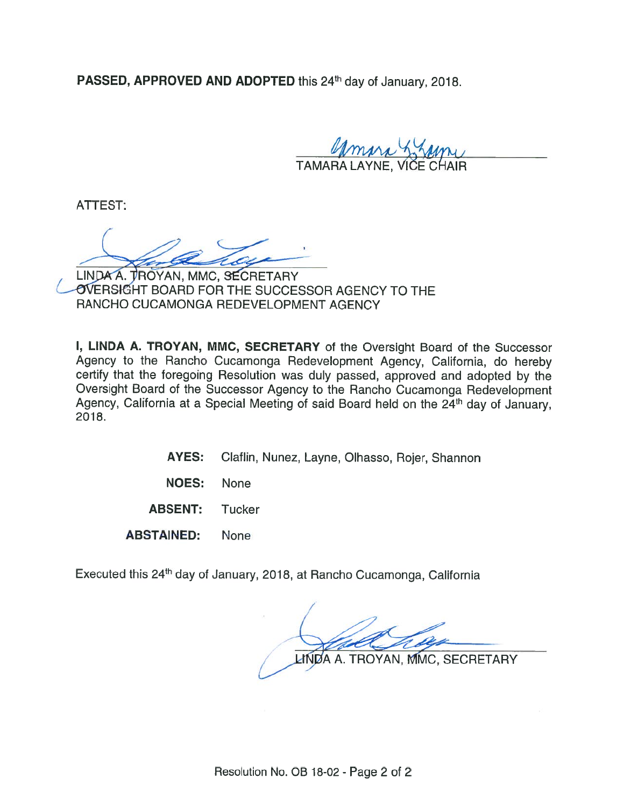PASSED, APPROVED AND ADOPTED this 24<sup>th</sup> day of January, 2018.

amira

ATTEST:

LINDA A. TROYAN, MMC. SECRETARY OVERSIGHT BOARD FOR THE SUCCESSOR AGENCY TO THE RANCHO CUCAMONGA REDEVELOPMENT AGENCY

I, LINDA A. TROYAN, MMC, SECRETARY of the Oversight Board of the Successor Agency to the Rancho Cucamonga Redevelopment Agency, California, do hereby certify that the foregoing Resolution was duly passed, approved and adopted by the Oversight Board of the Successor Agency to the Rancho Cucamonga Redevelopment Agency, California at a Special Meeting of said Board held on the 24<sup>th</sup> day of January. 2018.

- **AYES:** Claflin, Nunez, Layne, Olhasso, Rojer, Shannon
- **NOES:** None
- **ABSENT:** Tucker
- **ABSTAINED:** None

Executed this 24<sup>th</sup> day of January, 2018, at Rancho Cucamonga, California

A. TROYAN, MMC, SECRETARY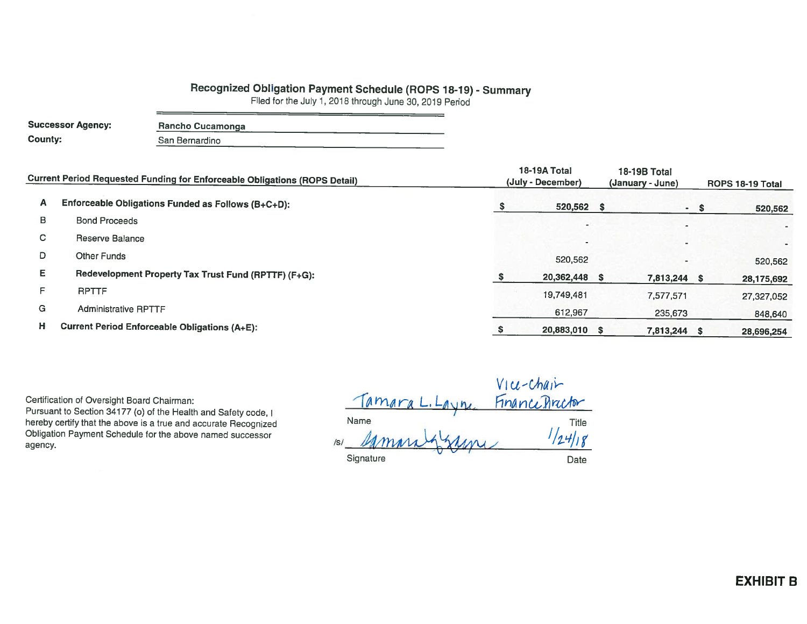## Recognized Obligation Payment Schedule (ROPS 18-19) - Summary

Filed for the July 1, 2018 through June 30, 2019 Period

| <b>Successor Agency:</b> | Rancho Cucamonga |
|--------------------------|------------------|
| County:                  | San Bernardino   |

| <b>Current Period Requested Funding for Enforceable Obligations (ROPS Detail)</b> |                                                      | 18-19A Total<br>(July - December) | 18-19B Total<br>(January - June) | ROPS 18-19 Total         |        |            |
|-----------------------------------------------------------------------------------|------------------------------------------------------|-----------------------------------|----------------------------------|--------------------------|--------|------------|
| A                                                                                 | Enforceable Obligations Funded as Follows (B+C+D):   |                                   | 520,562 \$                       |                          | $-$ \$ | 520,562    |
| B                                                                                 | <b>Bond Proceeds</b>                                 |                                   |                                  |                          |        | ۰          |
| C                                                                                 | Reserve Balance                                      |                                   |                                  |                          |        |            |
| D                                                                                 | Other Funds                                          |                                   | 520,562                          | $\overline{\phantom{a}}$ |        | 520,562    |
| Е                                                                                 | Redevelopment Property Tax Trust Fund (RPTTF) (F+G): |                                   | 20,362,448 \$                    | 7,813,244 \$             |        | 28,175,692 |
| F                                                                                 | <b>RPTTF</b>                                         |                                   | 19,749,481                       | 7,577,571                |        | 27,327,052 |
| G                                                                                 | <b>Administrative RPTTF</b>                          |                                   | 612,967                          | 235,673                  |        | 848,640    |
| н                                                                                 | <b>Current Period Enforceable Obligations (A+E):</b> |                                   | 20,883,010 \$                    | 7,813,244 \$             |        | 28,696,254 |

Certification of Oversight Board Chairman:

Pursuant to Section 34177 (o) of the Health and Safety code, I hereby certify that the above is a true and accurate Recognized Obligation Payment Schedule for the above named successor agency.

Vice-chain<br>Name L. Layne Finance Arector<br>Mamera Jakama  $151$  Mmm Signature Date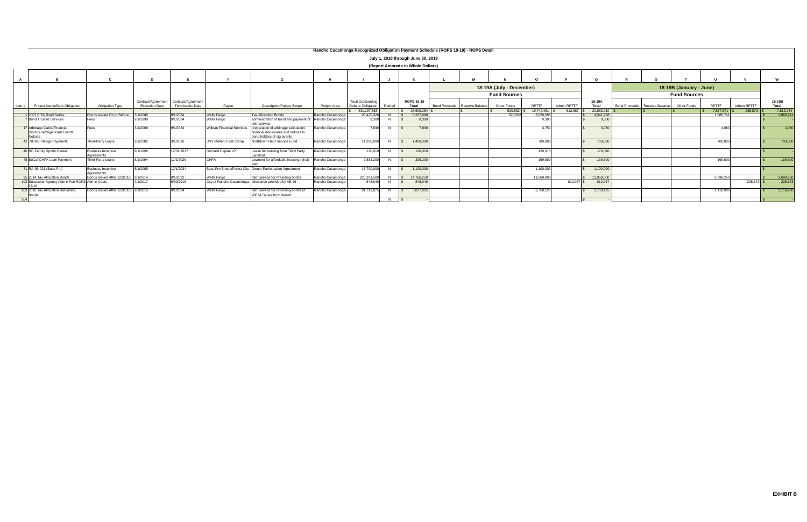|       | Rancho Cucamonga Recognized Obligation Payment Schedule (ROPS 18-19) - ROPS Detail |                                         |                       |                                                                  |                                   |                                                                                                             |                  |                                                |                     |                     |  |                               |                          |            |             |                 |                               |                         |           |              |                 |
|-------|------------------------------------------------------------------------------------|-----------------------------------------|-----------------------|------------------------------------------------------------------|-----------------------------------|-------------------------------------------------------------------------------------------------------------|------------------|------------------------------------------------|---------------------|---------------------|--|-------------------------------|--------------------------|------------|-------------|-----------------|-------------------------------|-------------------------|-----------|--------------|-----------------|
|       | July 1, 2018 through June 30, 2019                                                 |                                         |                       |                                                                  |                                   |                                                                                                             |                  |                                                |                     |                     |  |                               |                          |            |             |                 |                               |                         |           |              |                 |
|       | (Report Amounts in Whole Dollars)                                                  |                                         |                       |                                                                  |                                   |                                                                                                             |                  |                                                |                     |                     |  |                               |                          |            |             |                 |                               |                         |           |              |                 |
|       |                                                                                    |                                         |                       |                                                                  |                                   |                                                                                                             |                  |                                                |                     |                     |  |                               |                          |            |             |                 |                               |                         |           |              |                 |
|       |                                                                                    |                                         |                       |                                                                  |                                   |                                                                                                             |                  |                                                |                     |                     |  |                               | 18-19A (July - December) |            |             |                 |                               | 18-19B (January - June) |           |              |                 |
|       |                                                                                    |                                         |                       |                                                                  |                                   |                                                                                                             |                  |                                                |                     |                     |  |                               | <b>Fund Sources</b>      |            |             |                 |                               | <b>Fund Sources</b>     |           |              |                 |
| Item# | Project Name/Debt Obligation                                                       | Obligation Type                         | <b>Execution Date</b> | Contract/Agreement Contract/Agreement<br><b>Termination Date</b> | Payee                             | <b>Description/Project Scope</b>                                                                            | Project Area     | <b>Total Outstanding</b><br>Debt or Obligation | Retired             | ROPS 18-19<br>Total |  | Bond Proceeds Reserve Balance | Other Funds              | RPTTF      | Admin RPTTF | 18-19A<br>Total | Bond Proceeds Reserve Balance | Other Funds             | RPTTF     | Admin RPTTF  | 18-19B<br>Total |
|       |                                                                                    |                                         |                       |                                                                  |                                   |                                                                                                             |                  | 431.197.883                                    |                     | 28.696.254          |  |                               | 520,562                  | 19,749,481 | 612,967     | 20.883,010      |                               |                         | 7.577.571 | 235,673      | 7,813,244       |
|       | 1 2007 B TA Bond Series                                                            | Bonds Issued On or Before 3/1/2008      |                       | 9/1/2034                                                         | Wells Fargo                       | <b>Tax Allocation Bonds</b>                                                                                 | Rancho Cucamonga | 95.425.328                                     | N                   | 6.227.999           |  |                               | 520.562                  | 3.820.696  |             | 4,341,258       |                               |                         | 1.886.74  |              | 1,886,741       |
|       | <b>7</b> Bond Trustee Services                                                     |                                         | 9/1/1999              | 9/1/2034                                                         | Wells Fargo                       | administration of bond and payment of Rancho Cucamonga<br>debt service                                      |                  | 9.300                                          | N.                  | 9.300               |  |                               |                          | 9.300      |             | 9.300           |                               |                         |           |              |                 |
|       | 17 Arbitrage Calcs/Financial<br>Disclosure/Significant Events<br><b>Notices</b>    | Fees                                    | 3/1/2008              | 9/1/2034                                                         | <b>Nilldan Financial Services</b> | preparation of arbitrage calculation.<br>financial disclosures and notices to<br>bond holders of sig events | Rancho Cucamonga | 7.830                                          | N                   | 7.830               |  |                               |                          | 3.750      |             | 3,750           |                               |                         | 4.080     |              | 4.080           |
|       | 42 NHDC Pledge Payments                                                            | Third-Party Loans                       | 9/1/2002              | 3/1/2026                                                         | <b>BNY Mellon Trust Comp</b>      | Northtown Debt Service Fund                                                                                 | Rancho Cucamonga | 11,200,000                                     |                     | 1,400,000           |  |                               |                          | 700,000    |             | 700,000         |                               |                         | 700,000   |              | 700,000         |
|       | 46 RC Family Sports Center                                                         | Business Incentive<br>Agreements        | 9/1/1996              | 12/31/2017                                                       | Orchard Capital LP                | Lease for building from Third Party<br>Landlord                                                             | Rancho Cucamonga | 120,010                                        |                     | 120,010             |  |                               |                          | 120,010    |             | 120,010         |                               |                         |           |              |                 |
|       | 48 SoCal CHFA Loan Payment                                                         | Third-Party Loans                       | 8/1/1994              | 11/1/2026                                                        | <b>CHFA</b>                       | payment for affordable housing rehab                                                                        | Rancho Cucamonga | 2,883,200                                      |                     | 339,200             |  |                               |                          | 169,600    |             | 169,600         |                               |                         | 169,600   |              | 169,600         |
|       | 71 RA-05-021 (Bass Pro)                                                            | <b>Business Incentive</b><br>Agreements | 8/1/2005              | 12/1/2034                                                        |                                   | Bass Pro Shops/Forest City Owner Participation Agreement                                                    | Rancho Cucamonga | 18,700,000                                     |                     | 1.100.000           |  |                               |                          | 1,100,000  |             | 1,100,000       |                               |                         |           |              |                 |
|       | 95 2014 Tax Allocation Bonds                                                       | Bonds Issued After 12/31/10 9/1/2014    |                       | 9/1/2032                                                         | Wells Fargo                       | debt service for refunding bonds                                                                            | Rancho Cucamonga | 220,291,500                                    |                     | 14,766,250          |  |                               |                          | 11.068.000 |             | 11.068.000      |                               |                         | 3.698.250 |              | 3,698,250       |
|       | 102 Successor Agency Admin Fee ROPS Admin Costs                                    |                                         | 7/1/2017              | 6/30/2018                                                        |                                   | City of Rancho Cucamonga allowance provided by AB 26                                                        | Rancho Cucamonga | 848,640                                        |                     | 848,640             |  |                               |                          |            | 612,967 \$  | 612,967         |                               |                         |           | $235.673$ \$ | 235,673         |
|       | 103 2016 Tax Allocation Refunding<br>Bonds                                         | Bonds Issued After 12/31/10 9/1/2016    |                       | 9/1/2034                                                         | Wells Fargo                       | debt service for refunding bonds of<br>2007A Series from item#1                                             | Rancho Cucamonga | 81,712,075                                     | N                   | 3.877.025           |  |                               |                          | 2,758,125  |             | 2,758,125       |                               |                         | 1,118,900 |              | 1,118,900       |
| 104   |                                                                                    |                                         |                       |                                                                  |                                   |                                                                                                             |                  |                                                | $N$ $\vert S \vert$ |                     |  |                               |                          |            |             |                 |                               |                         |           |              |                 |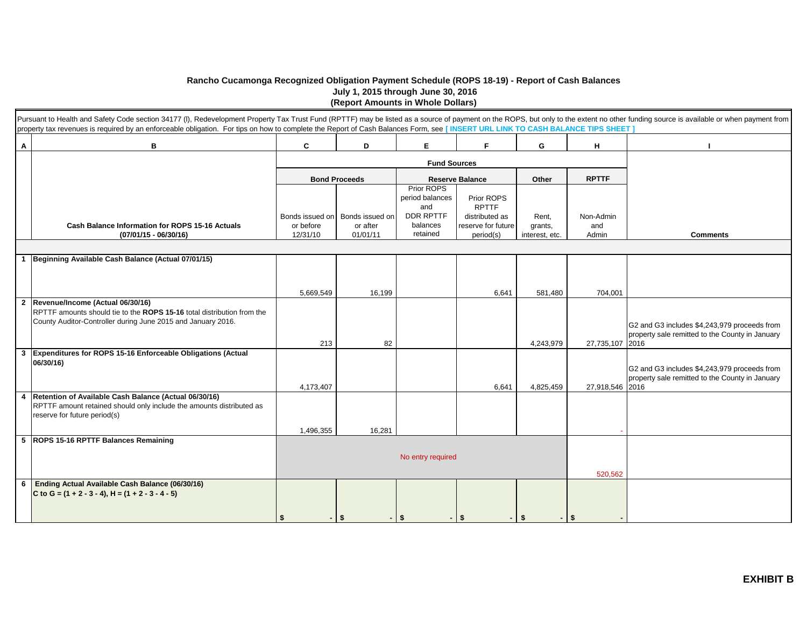## **Rancho Cucamonga Recognized Obligation Payment Schedule (ROPS 18-19) - Report of Cash Balances July 1, 2015 through June 30, 2016 (Report Amounts in Whole Dollars)**

|                | Pursuant to Health and Safety Code section 34177 (I), Redevelopment Property Tax Trust Fund (RPTTF) may be listed as a source of payment on the ROPS, but only to the extent no other funding source is available or when paym<br>property tax revenues is required by an enforceable obligation. For tips on how to complete the Report of Cash Balances Form, see [INSERT URL LINK TO CASH BALANCE TIPS SHEET] |           |                                   |                        |                                 |                 |                 |                                                 |
|----------------|------------------------------------------------------------------------------------------------------------------------------------------------------------------------------------------------------------------------------------------------------------------------------------------------------------------------------------------------------------------------------------------------------------------|-----------|-----------------------------------|------------------------|---------------------------------|-----------------|-----------------|-------------------------------------------------|
| A              | В                                                                                                                                                                                                                                                                                                                                                                                                                | C         | D                                 | Е                      | F.                              | G               | н               |                                                 |
|                |                                                                                                                                                                                                                                                                                                                                                                                                                  |           |                                   | <b>Fund Sources</b>    |                                 |                 |                 |                                                 |
|                |                                                                                                                                                                                                                                                                                                                                                                                                                  |           | <b>Bond Proceeds</b>              |                        | <b>Reserve Balance</b><br>Other |                 |                 |                                                 |
|                |                                                                                                                                                                                                                                                                                                                                                                                                                  |           |                                   | Prior ROPS             |                                 |                 | <b>RPTTF</b>    |                                                 |
|                |                                                                                                                                                                                                                                                                                                                                                                                                                  |           |                                   | period balances<br>and | Prior ROPS<br><b>RPTTF</b>      |                 |                 |                                                 |
|                |                                                                                                                                                                                                                                                                                                                                                                                                                  |           | Bonds issued on   Bonds issued on | DDR RPTTF              | distributed as                  | Rent,           | Non-Admin       |                                                 |
|                | <b>Cash Balance Information for ROPS 15-16 Actuals</b>                                                                                                                                                                                                                                                                                                                                                           | or before | or after                          | balances               | reserve for future              | grants,         | and             |                                                 |
|                | $(07/01/15 - 06/30/16)$                                                                                                                                                                                                                                                                                                                                                                                          | 12/31/10  | 01/01/11                          | retained               | period(s)                       | interest, etc.  | Admin           | <b>Comments</b>                                 |
|                |                                                                                                                                                                                                                                                                                                                                                                                                                  |           |                                   |                        |                                 |                 |                 |                                                 |
| $\mathbf{1}$   | Beginning Available Cash Balance (Actual 07/01/15)                                                                                                                                                                                                                                                                                                                                                               |           |                                   |                        |                                 |                 |                 |                                                 |
|                |                                                                                                                                                                                                                                                                                                                                                                                                                  |           |                                   |                        |                                 |                 |                 |                                                 |
|                |                                                                                                                                                                                                                                                                                                                                                                                                                  |           |                                   |                        |                                 |                 |                 |                                                 |
|                |                                                                                                                                                                                                                                                                                                                                                                                                                  | 5,669,549 | 16,199                            |                        | 6,641                           | 581,480         | 704,001         |                                                 |
| $\overline{2}$ | Revenue/Income (Actual 06/30/16)                                                                                                                                                                                                                                                                                                                                                                                 |           |                                   |                        |                                 |                 |                 |                                                 |
|                | RPTTF amounts should tie to the ROPS 15-16 total distribution from the                                                                                                                                                                                                                                                                                                                                           |           |                                   |                        |                                 |                 |                 |                                                 |
|                | County Auditor-Controller during June 2015 and January 2016.                                                                                                                                                                                                                                                                                                                                                     |           |                                   |                        |                                 |                 |                 | G2 and G3 includes \$4,243,979 proceeds from    |
|                |                                                                                                                                                                                                                                                                                                                                                                                                                  |           |                                   |                        |                                 |                 |                 | property sale remitted to the County in January |
| $\mathbf{3}$   | Expenditures for ROPS 15-16 Enforceable Obligations (Actual                                                                                                                                                                                                                                                                                                                                                      | 213       | 82                                |                        |                                 | 4,243,979       | 27,735,107 2016 |                                                 |
|                | 06/30/16)                                                                                                                                                                                                                                                                                                                                                                                                        |           |                                   |                        |                                 |                 |                 |                                                 |
|                |                                                                                                                                                                                                                                                                                                                                                                                                                  |           |                                   |                        |                                 |                 |                 | G2 and G3 includes \$4,243,979 proceeds from    |
|                |                                                                                                                                                                                                                                                                                                                                                                                                                  |           |                                   |                        | 6.641                           |                 |                 | property sale remitted to the County in January |
| $\overline{4}$ | Retention of Available Cash Balance (Actual 06/30/16)                                                                                                                                                                                                                                                                                                                                                            | 4,173,407 |                                   |                        |                                 | 4,825,459       | 27,918,546 2016 |                                                 |
|                | RPTTF amount retained should only include the amounts distributed as                                                                                                                                                                                                                                                                                                                                             |           |                                   |                        |                                 |                 |                 |                                                 |
|                | reserve for future period(s)                                                                                                                                                                                                                                                                                                                                                                                     |           |                                   |                        |                                 |                 |                 |                                                 |
|                |                                                                                                                                                                                                                                                                                                                                                                                                                  | 1,496,355 | 16,281                            |                        |                                 |                 |                 |                                                 |
|                | 5 ROPS 15-16 RPTTF Balances Remaining                                                                                                                                                                                                                                                                                                                                                                            |           |                                   |                        |                                 |                 |                 |                                                 |
|                |                                                                                                                                                                                                                                                                                                                                                                                                                  |           |                                   |                        |                                 |                 |                 |                                                 |
|                |                                                                                                                                                                                                                                                                                                                                                                                                                  |           |                                   | No entry required      |                                 |                 |                 |                                                 |
|                |                                                                                                                                                                                                                                                                                                                                                                                                                  |           |                                   |                        |                                 |                 | 520,562         |                                                 |
| 6              | Ending Actual Available Cash Balance (06/30/16)                                                                                                                                                                                                                                                                                                                                                                  |           |                                   |                        |                                 |                 |                 |                                                 |
|                | C to G = $(1 + 2 - 3 - 4)$ , H = $(1 + 2 - 3 - 4 - 5)$                                                                                                                                                                                                                                                                                                                                                           |           |                                   |                        |                                 |                 |                 |                                                 |
|                |                                                                                                                                                                                                                                                                                                                                                                                                                  |           |                                   |                        |                                 |                 |                 |                                                 |
|                |                                                                                                                                                                                                                                                                                                                                                                                                                  | \$        | l Si                              | -S                     |                                 | $-1$ \$<br>- \$ |                 |                                                 |